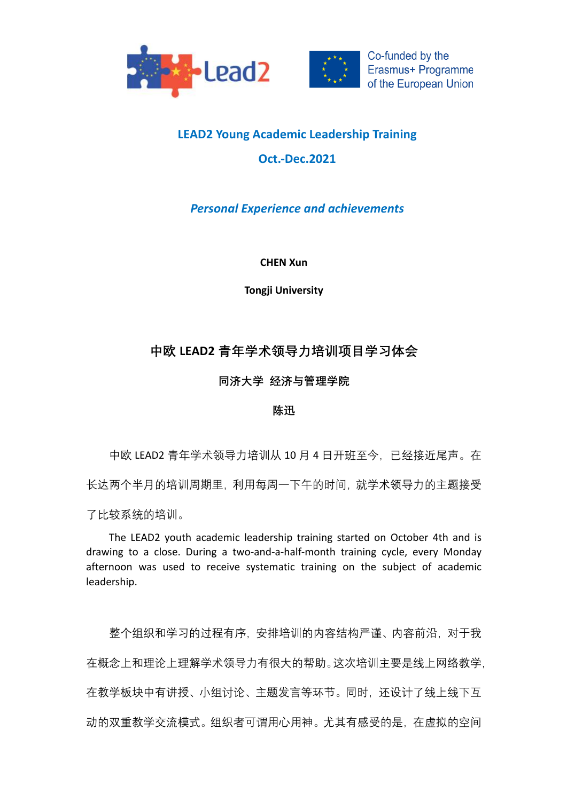



Co-funded by the Erasmus+ Programme of the European Union

## **LEAD2 Young Academic Leadership Training Oct.-Dec.2021**

## *Personal Experience and achievements*

**CHEN Xun**

**Tongji University**

## **中欧 LEAD2 青年学术领导力培训项目学习体会**

**同济大学 经济与管理学院**

## **陈迅**

中欧 LEAD2 青年学术领导力培训从 10 月 4 日开班至今, 已经接近尾声。在 长达两个半月的培训周期里,利用每周一下午的时间,就学术领导力的主题接受 了比较系统的培训。

The LEAD2 youth academic leadership training started on October 4th and is drawing to a close. During a two-and-a-half-month training cycle, every Monday afternoon was used to receive systematic training on the subject of academic leadership.

整个组织和学习的过程有序,安排培训的内容结构严谨、内容前沿,对于我 在概念上和理论上理解学术领导力有很大的帮助。这次培训主要是线上网络教学, 在教学板块中有讲授、小组讨论、主题发言等环节。同时,还设计了线上线下互 动的双重教学交流模式。组织者可谓用心用神。尤其有感受的是,在虚拟的空间